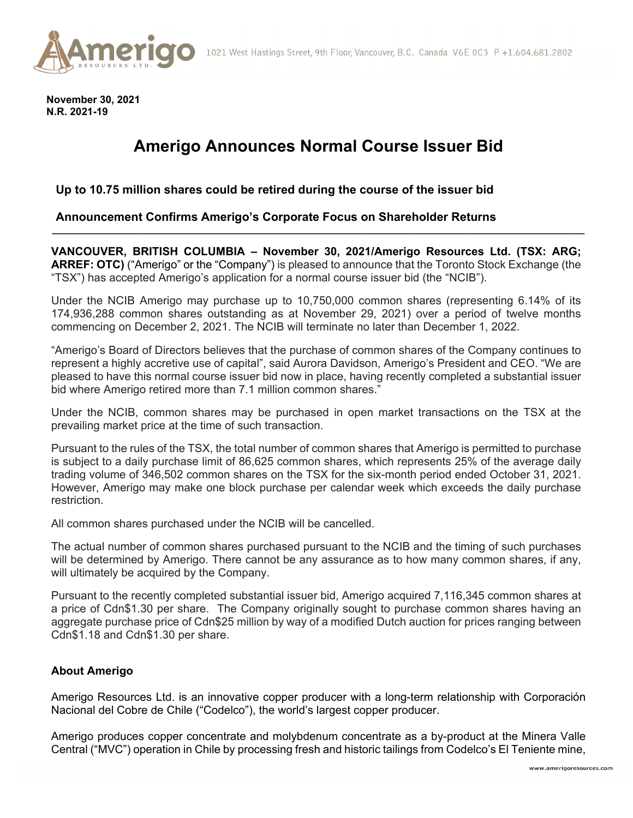

**November 30, 2021 N.R. 2021-19** 

# **Amerigo Announces Normal Course Issuer Bid**

## **Up to 10.75 million shares could be retired during the course of the issuer bid**

### **Announcement Confirms Amerigo's Corporate Focus on Shareholder Returns**

**VANCOUVER, BRITISH COLUMBIA – November 30, 2021/Amerigo Resources Ltd. (TSX: ARG; ARREF: OTC)** ("Amerigo" or the "Company") is pleased to announce that the Toronto Stock Exchange (the "TSX") has accepted Amerigo's application for a normal course issuer bid (the "NCIB").

**\_\_\_\_\_\_\_\_\_\_\_\_\_\_\_\_\_\_\_\_\_\_\_\_\_\_\_\_\_\_\_\_\_\_\_\_\_\_\_\_\_\_\_\_\_\_\_\_\_\_\_\_\_\_\_\_\_\_\_\_\_\_\_\_\_\_\_\_\_\_\_\_\_\_\_\_\_\_\_\_\_\_\_\_\_\_\_\_\_\_\_\_\_\_\_\_\_\_\_\_\_\_\_** 

Under the NCIB Amerigo may purchase up to 10,750,000 common shares (representing 6.14% of its 174,936,288 common shares outstanding as at November 29, 2021) over a period of twelve months commencing on December 2, 2021. The NCIB will terminate no later than December 1, 2022.

"Amerigo's Board of Directors believes that the purchase of common shares of the Company continues to represent a highly accretive use of capital", said Aurora Davidson, Amerigo's President and CEO. "We are pleased to have this normal course issuer bid now in place, having recently completed a substantial issuer bid where Amerigo retired more than 7.1 million common shares."

Under the NCIB, common shares may be purchased in open market transactions on the TSX at the prevailing market price at the time of such transaction.

Pursuant to the rules of the TSX, the total number of common shares that Amerigo is permitted to purchase is subject to a daily purchase limit of 86,625 common shares, which represents 25% of the average daily trading volume of 346,502 common shares on the TSX for the six-month period ended October 31, 2021. However, Amerigo may make one block purchase per calendar week which exceeds the daily purchase restriction.

All common shares purchased under the NCIB will be cancelled.

The actual number of common shares purchased pursuant to the NCIB and the timing of such purchases will be determined by Amerigo. There cannot be any assurance as to how many common shares, if any, will ultimately be acquired by the Company.

Pursuant to the recently completed substantial issuer bid, Amerigo acquired 7,116,345 common shares at a price of Cdn\$1.30 per share. The Company originally sought to purchase common shares having an aggregate purchase price of Cdn\$25 million by way of a modified Dutch auction for prices ranging between Cdn\$1.18 and Cdn\$1.30 per share.

#### **About Amerigo**

Amerigo Resources Ltd. is an innovative copper producer with a long-term relationship with Corporación Nacional del Cobre de Chile ("Codelco"), the world's largest copper producer.

Amerigo produces copper concentrate and molybdenum concentrate as a by-product at the Minera Valle Central ("MVC") operation in Chile by processing fresh and historic tailings from Codelco's El Teniente mine,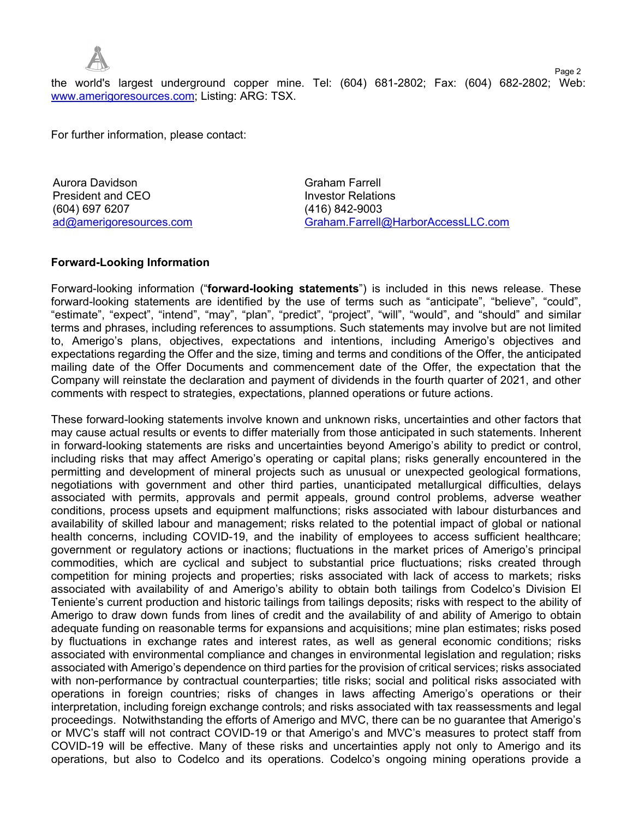

the world's largest underground copper mine. Tel: (604) 681-2802; Fax: (604) 682-2802; Web: www.amerigoresources.com; Listing: ARG: TSX.

For further information, please contact:

Aurora Davidson Graham Farrell **President and CEO Investor Relations** (604) 697 6207 (416) 842-9003

ad@amerigoresources.com Graham.Farrell@HarborAccessLLC.com

Page 2

### **Forward-Looking Information**

Forward-looking information ("**forward-looking statements**") is included in this news release. These forward-looking statements are identified by the use of terms such as "anticipate", "believe", "could", "estimate", "expect", "intend", "may", "plan", "predict", "project", "will", "would", and "should" and similar terms and phrases, including references to assumptions. Such statements may involve but are not limited to, Amerigo's plans, objectives, expectations and intentions, including Amerigo's objectives and expectations regarding the Offer and the size, timing and terms and conditions of the Offer, the anticipated mailing date of the Offer Documents and commencement date of the Offer, the expectation that the Company will reinstate the declaration and payment of dividends in the fourth quarter of 2021, and other comments with respect to strategies, expectations, planned operations or future actions.

These forward-looking statements involve known and unknown risks, uncertainties and other factors that may cause actual results or events to differ materially from those anticipated in such statements. Inherent in forward-looking statements are risks and uncertainties beyond Amerigo's ability to predict or control, including risks that may affect Amerigo's operating or capital plans; risks generally encountered in the permitting and development of mineral projects such as unusual or unexpected geological formations, negotiations with government and other third parties, unanticipated metallurgical difficulties, delays associated with permits, approvals and permit appeals, ground control problems, adverse weather conditions, process upsets and equipment malfunctions; risks associated with labour disturbances and availability of skilled labour and management; risks related to the potential impact of global or national health concerns, including COVID-19, and the inability of employees to access sufficient healthcare; government or regulatory actions or inactions; fluctuations in the market prices of Amerigo's principal commodities, which are cyclical and subject to substantial price fluctuations; risks created through competition for mining projects and properties; risks associated with lack of access to markets; risks associated with availability of and Amerigo's ability to obtain both tailings from Codelco's Division El Teniente's current production and historic tailings from tailings deposits; risks with respect to the ability of Amerigo to draw down funds from lines of credit and the availability of and ability of Amerigo to obtain adequate funding on reasonable terms for expansions and acquisitions; mine plan estimates; risks posed by fluctuations in exchange rates and interest rates, as well as general economic conditions; risks associated with environmental compliance and changes in environmental legislation and regulation; risks associated with Amerigo's dependence on third parties for the provision of critical services; risks associated with non-performance by contractual counterparties; title risks; social and political risks associated with operations in foreign countries; risks of changes in laws affecting Amerigo's operations or their interpretation, including foreign exchange controls; and risks associated with tax reassessments and legal proceedings. Notwithstanding the efforts of Amerigo and MVC, there can be no guarantee that Amerigo's or MVC's staff will not contract COVID-19 or that Amerigo's and MVC's measures to protect staff from COVID-19 will be effective. Many of these risks and uncertainties apply not only to Amerigo and its operations, but also to Codelco and its operations. Codelco's ongoing mining operations provide a